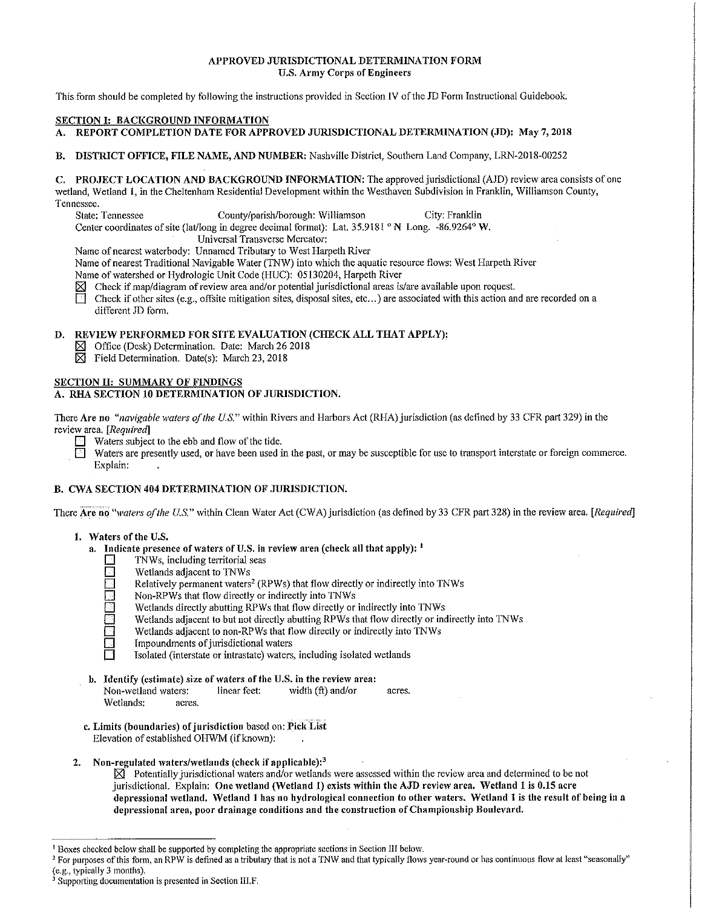## APPROVED JURISDICTIONAL DETERMINATION FORM U.S. Army Corps of Engineers

This form should be completed by following the instructions provided in Section IV of the JD Form Instructional Guidebook.

## SECTION I: BACKGROUND INFORMATION

- A. REPORT COMPLETION DATE FOR APPROVED JURISDICTIONAL DETERMINATION (JD): May 7, 2018
- B. DISTRICT OFFICE, FILE NAME, AND NUMBER: Nashville District, Southern Land Company, LRN-2018-00252

#### C. PROJECT LOCATION AND BACKGROUND INFORMATION: The approved jurisdictional (AJD) review area consists of one wetland, Wetland 1, in the Cheltenham Residential Development within the Westhaven Subdivision in Franklin, Williamson County,

Tennessee.<br>State: Tennessee

County/parish/borough: Williamson City: Franklin

Center coordinates of site (lat/long in degree decimal format): Lat. 35.9181 ° N Long. -86.9264° W.

Universal Transverse Mercator:

Name of nearest \vaterbody: Unnamed Tributary to West Harpeth River

Name of nearest Traditional Navigable Water (TNW) into which the aquatic resource flows: West Harpeth River

Name of watershed or Hydrologic Unit Code (HUC): 05130204, Harpeth River

- $\boxtimes$  Check if map/diagram of review area and/or potential jurisdictional areas is/are available upon request.
- Check if other sites (e.g., offsite mitigation sites, disposal sites, etc...) are associated with this action and are recorded on a different JD form.

## D. REVIEW PERFORMED FOR SITE EVALUATION (CHECK ALL THAT APPLY):

- $\boxtimes$  Office (Desk) Determination. Date: March 26 2018
- $\boxtimes$  Field Determination. Date(s): March 23, 2018

# SECTION II: SUMMARY OF FINDINGS

## A. RHA SECTION 10 DETERMINATION OF JURISDICTION.

There Are no *"navigable waters of the U.S."* within Rivers and Harbors Act (RHA) jurisdiction (as defined by 33 CFR part 329) in the revie\v area. *[Required]* 

Waters subject to the ebb and flow of the tide.<br>
Waters are presently used, or have been used i

Waters are presently used, or have been used in the past, or may be susceptible for use to transport interstate or foreign commerce. Explain:

## B. CWA SECTION 404 DETERMINATION OF JURISDICTION.

There Are no "*waters of the U.S."* within Clean Water Act (CWA) jurisdiction (as defined by 33 CFR part 328) in the review area. *[Required]* 

## 1. Waters of the U.S.

- a. Indicate presence of waters of U.S. in review area (check all that apply): <sup>1</sup><br>  $\Box$  TNWs, including territorial seas
	- T TNWs, including territorial seas<br>
	Wetlands adjacent to TNWs
	- **D** Wetlands adjacent to TNWs<br>Relatively permanent waters
	- Relatively permanent waters<sup>2</sup> (RPWs) that flow directly or indirectly into TNWs<br>Non-RPWs that flow directly or indirectly into TNWs
		-
	- **D** Non-RPWs that flow directly or indirectly into TNWs<br>
	Wetlands directly abutting RPWs that flow directly or Wetlands directly abutting RPWs that flow directly or indirectly into TNWs<br>Wetlands adjacent to but not directly abutting RPWs that flow directly or indirectly into 1NWs<br>Wetlands adjacent to non-RPWs that flow directly or
		- Wetlands adjacent to but not directly abutting RPWs that flow directly or indirectly into TNWs
	- $\Box$  Wetlands adjacent to non-RPWs that flow directly or indirectly into TNWs<br>Impoundments of jurisdictional waters
	- Impoundments of jurisdictional waters
		- Isolated (interstate or intrastate) waters, including isolated wetlands
- b. Identify (estimate) size of waters of the U.S. in the review area: Non-wetland waters: linear feet: width (ft) and/or acres. Wetlands: acres.
- c. Limits (boundaries) of jurisdiction based on: Pick List Elevation of established OHWM (if known):

## 2. Non-regulated waters/wetlands (check if applicable): $3$

 $\boxtimes$  Potentially jurisdictional waters and/or wetlands were assessed within the review area and determined to be not jurisdictional. Explain: One wetland (Wetland 1) exists within the AJD review area. Wetland 1 is 0.15 acre depressional 'vetland. 'Vetland 1 has no hydrological connection to other \Vaters. \Vetland 1 is the result of being in a depressional area, poor drainage conditions and the construction of Championship Boulevard.

<sup>&</sup>lt;sup>1</sup> Boxes checked below shall be supported by completing the appropriate sections in Section III below.<br><sup>2</sup> For purposes of this form, an RPW is defined as a tributary that is not a TNW and that typically flows year-round

<sup>&</sup>lt;sup>3</sup> Supporting documentation is presented in Section III.F.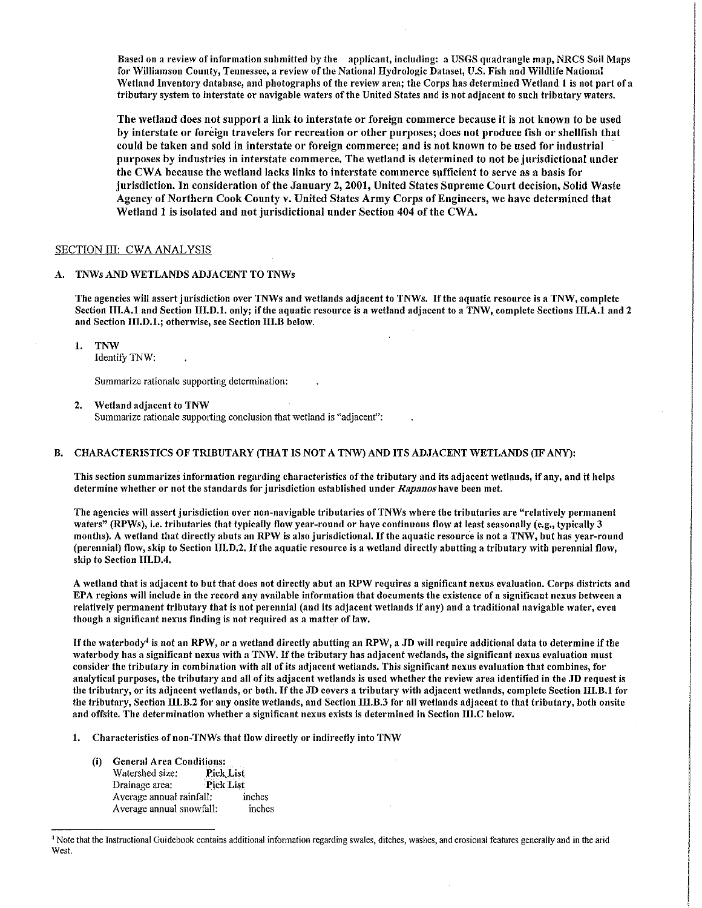Based on a review of information submitted by the applicant, including: a USGS quadrangle map, NRCS Soil Maps for Williamson County, Tennessee, a review of the National Hydrologic Dataset, U.S. Fish and Wildlife National Wetland Inventory database, and photographs of the review area; the Corps has determined Wetland 1 is not part of a tributary system to interstate or navigable waters of the United States and is not adjacent to such tributary waters.

The wetland does not support a link to interstate or foreign commerce because it is not known to be used by interstate or foreign travelers for recreation or other purposes; does not produce fish or shellfish that could be taken and sold in interstate or foreign commerce; and is not known to be used for industrial purposes by industries in interstate commerce. The wetland is determined to not be jurisdictional under the CWA because the wetland lacks links to interstate commerce sufficient to serve as a basis for jurisdiction. In consideration of the January 2, 2001, United States Supreme Court decision, Solid Waste Agency of Northern Cook County v. United States Army Corps of Engineers, we have determined that Wetland 1 is isolated and not jurisdictional under Section 404 of the CWA.

## SECTION III: CWA ANALYSIS

## A. TNWs AND WETLANDS ADJACENT TO TNWs

The agencies will assert jurisdiction over TNWs and wetlands adjacent to TNWs. If the aquatic resource is a TNW, complete Section III.A.1 and Section III.D.1. only; if the aquatic resource is a wetland adjacent to a TNW, complete Sections III.A.1 and 2 and Section III.D.1.; otherwise, see Section III.B below.

1. TNW

Identify TNW:

Summarize rationale supporting determination:

2. Wetland adjacent to TNW

Summarize rationale supporting conclusion that wetland is "adjacent":

#### B. CHARACTERISTICS OF TRIBUTARY (THAT IS NOT A TNW) AND ITS ADJACENT WETLANDS (IF ANY):

This section summarizes information regarding characteristics of the tributary and its adjacent \Vetlands, if any, and it helps determine \Vhether or not the standards for jurisdiction established under *Rapanoshave* been met.

The agencies will assert jurisdiction over non-navigable tributaries of TNWs where the tributaries are "relatively permanent waters" (RPWs), i.e. tributaries that typically flow year-round or have continuous flow at least seasonally (e.g., typically 3 months). A wetland that directly abuts an RPW is also jurisdictional. If the aquatic resource is not a TNW, but has year-round (perennial) flow, skip to Section III.D.2. If the aquatic resource is a wetland directly abutting a tributary with perennial flow, skip to Section III.D.4.

A wetland that is adjacent to but that does not directly abut an RPW requires a significant nexus evaluation. Corps districts and EPA regions will include in the record any available information that documents the existence of a significant nexus between a relatively permanent tributary that is not perennial (and its adjacent wetlands if any) and a traditional navigable water, even though a significant nexus finding is not required as a matter of law,

If the waterbody<sup>4</sup> is not an RPW, or a wetland directly abutting an RPW, a JD will require additional data to determine if the waterbody has a significant nexus with a TNW. If the tributary has adjacent wetlands, the significant nexus evaluation must consider the tributary in combination \vith all of its adjacent wetlands. This significant nexus evaluation that combines, for analytical purposes, the tributary and all of its adjacent wetlands is used whether the review area identified in the JD request is the tributary, or its adjacent wetlands, or both. If the JD covers a tributary with adjacent wetlands, complete Section III.B.1 for the tributary, Section III.B.2 for any onsite wetlands, and Section III.B.3 for all wetlands adjacent to that tributary, both onsite and offsite. The determination whether a significant nexus exists is determined in Section III.C below.

- 1. Characteristics of non-TNWs that flow directly or indirectly into TNW
	- (i) General Area Conditions: Watershed size: Drainage area: Pick List Average annual rainfall: inches Average annual snowfall: inches

<sup>&</sup>lt;sup>4</sup> Note that the Instructional Guidebook contains additional information regarding swales, ditches, washes, and erosional features generally and in the arid West.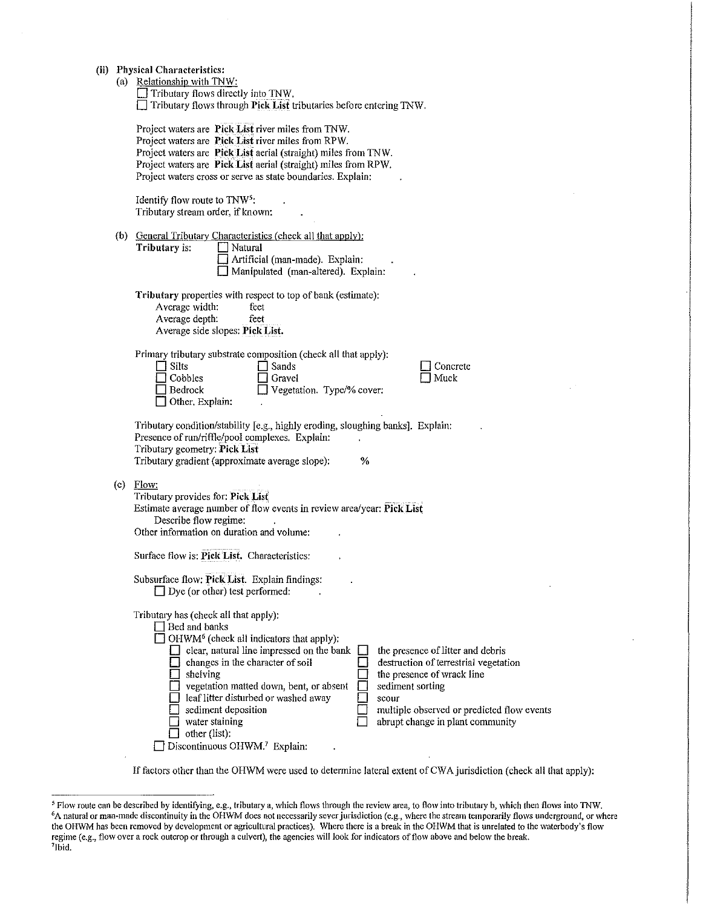- **(ii) Physical Characteristics:** 
	-
	- (a) Relationship with TNW:<br> $\Box$  Tributary flows directly into TNW. **D** Tributary flows through **Pick List** tributaries before entering TNW.

|     | Project waters are Pick List river miles from TNW.<br>Project waters are Pick List river miles from RPW.<br>Project waters are Pick List aerial (straight) miles from TNW.<br>Project waters are Pick List aerial (straight) miles from RPW.<br>Project waters cross or serve as state boundaries. Explain:                                                                                                                                                                                                                                                                                                                                                                      |
|-----|----------------------------------------------------------------------------------------------------------------------------------------------------------------------------------------------------------------------------------------------------------------------------------------------------------------------------------------------------------------------------------------------------------------------------------------------------------------------------------------------------------------------------------------------------------------------------------------------------------------------------------------------------------------------------------|
|     | Identify flow route to TNW <sup>5</sup> :<br>Tributary stream order, if known:                                                                                                                                                                                                                                                                                                                                                                                                                                                                                                                                                                                                   |
|     | (b) General Tributary Characteristics (check all that apply):<br>Tributary is:<br>Natural<br>Artificial (man-made). Explain:<br>Manipulated (man-altered). Explain:                                                                                                                                                                                                                                                                                                                                                                                                                                                                                                              |
|     | Tributary properties with respect to top of bank (estimate):<br>Average width:<br>feet<br>Average depth.<br>feet<br>Average side slopes: Pick List.                                                                                                                                                                                                                                                                                                                                                                                                                                                                                                                              |
|     | Primary tributary substrate composition (check all that apply):<br>Silts<br>Sands<br>Concrete<br>Muck<br>Cobbles<br>T Gravel<br>Vegetation. Type/% cover:<br>Bedrock<br>Other, Explain:                                                                                                                                                                                                                                                                                                                                                                                                                                                                                          |
|     | Tributary condition/stability [e.g., highly eroding, sloughing banks]. Explain:<br>Presence of run/riffle/pool complexes. Explain:<br>Tributary geometry: Pick List<br>Tributary gradient (approximate average slope):<br>%                                                                                                                                                                                                                                                                                                                                                                                                                                                      |
| (c) | Flow:<br>Tributary provides for: Pick List<br>Estimate average number of flow events in review area/year: Pick List<br>Describe flow regime:<br>Other information on duration and volume:                                                                                                                                                                                                                                                                                                                                                                                                                                                                                        |
|     | Surface flow is: Pick List. Characteristics:<br>Subsurface flow: Pick List. Explain findings:                                                                                                                                                                                                                                                                                                                                                                                                                                                                                                                                                                                    |
|     | $\Box$ Dye (or other) test performed:<br>Tributary has (check all that apply):<br>$\Box$ Bed and banks<br>OHWM <sup>6</sup> (check all indicators that apply):<br>clear, natural line impressed on the bank<br>the presence of litter and debris<br>changes in the character of soil<br>destruction of terrestrial vegetation<br>the presence of wrack line<br>shelving<br>vegetation matted down, bent, or absent<br>sediment sorting<br>leaf litter disturbed or washed away<br>scour<br>sediment deposition<br>multiple observed or predicted flow events<br>water staining<br>abrupt change in plant community<br>other (list):<br>Discontinuous OHWM. <sup>7</sup> Explain: |

If factors other than the OHWM were used to determine lateral extent of CW A jurisdiction (check all that apply):

<sup>&</sup>lt;sup>5</sup> Flow route can be described by identifying, e.g., tributary a, which flows through the review area, to flow into tributary b, which then flows into TNW.<br><sup>6</sup>A natural or man-made discontinuity in the OHWM does not neces the OHWM has been removed by development or agricultural practices). Where there is a break in the OHWM that is unrelated to the waterbody's flow regime (e.g., flow over a rock outcrop or through a culvert), the agencies will look for indicators of flow above and below the break.<br>7Thid <sup>7</sup>Ibid.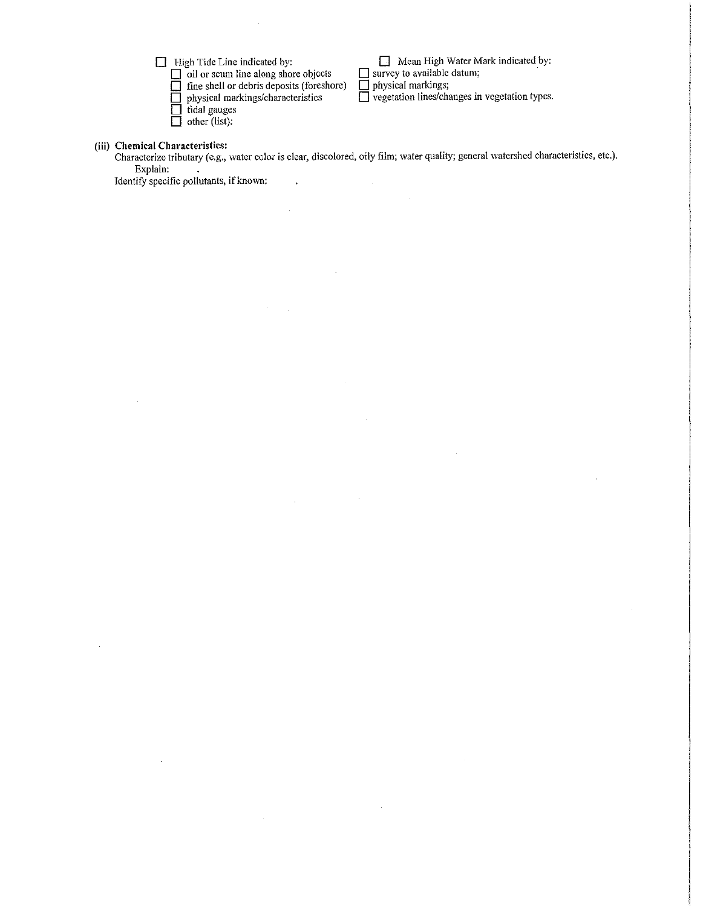D High Tide Line indicated by:

**D** oil or scum line along shore objects

 $\Box$  fine shell or debris deposits (foreshore)

 $\ddot{\phantom{0}}$ 

 $\bar{z}$ 

÷.

**D** physical markings/characteristics

 $\Box$  tidal gauges  $\Box$  other (list):

D Mean High Water Mark indicated by:  $\Box$  survey to available datum;

 $\Box$  physical markings;

**D** vegetation lines/changes in vegetation types.

**(iii) Chemical Characteristics:** 

 $\bar{\beta}$ 

Characterize tributary (e.g., water color is clear, discolored, oily film; water quality; general watershed characteristics, etc.). Explain:

Identify specific pollutants, if known: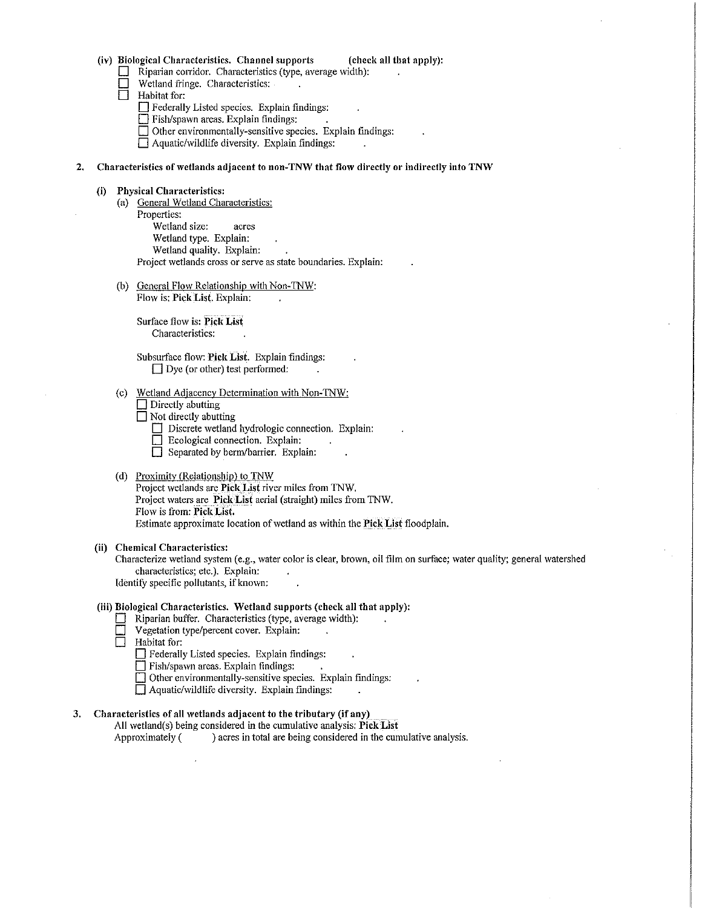#### (iv) Biological Characteristics. Channel supports (check all that apply):

- $\Box$  Riparian corridor. Characteristics (type, average width):<br> $\Box$  Wetland fringe Characteristics
	- Wetland fringe. Characteristics:
- $\Box$  Habitat for:

 $\Box$  Federally Listed species. Explain findings:

- D Fish/spawn areas. Explain findings:
- $\Box$  Other environmentally-sensitive species. Explain findings:
- $\Box$  Aquatic/wildlife diversity. Explain findings:

#### 2. Characteristics of wetlands adjacent to non-TNW that flow directly or indirectly into TNW

#### (i) Physical Characteristics:

- (a) General Wetland Characteristics: Properties: Wetland size: acres Wetland type. Explain: Wetland quality. Explain: Project wetlands cross or serve as state boundaries. Explain:
- (b) General Flow Relationship with Non-TNW: Flow is: Pick List. Explain:

Surface flow is: Pick List Characteristics:

Subsurface flow: Pick List. Explain findings:  $\Box$  Dye (or other) test performed:

- (c) Wetland Adjacency Determination with Non-TNW:
	- $\Box$  Directly abutting

 $\Box$  Not directly abutting

- $\Box$  Discrete wetland hydrologic connection. Explain:
- D Ecological connection. Explain:
- $\Box$  Separated by berm/barrier. Explain:

#### (d) Proximity (Relationship) to TNW

Project wetlands are Pick List river miles from TNW. Project waters are Pick List aerial (straight) miles from TNW. Flow is from: Pick List. Estimate approximate location of wetland as within the Pick List floodplain.

#### (ii) Chemical Characteristics:

Characterize wetland system (e.g., water color is clear, brown, oil film on surface; water quality; general watershed characteristics; etc.). Explain: Identify specific pollutants, if known:

## (iii) Biological Characteristics. \Vetland supports (check all that apply):

- $\Box$  Riparian buffer. Characteristics (type, average width):
- $\Box$  Vegetation type/percent cover. Explain:<br>  $\Box$  Habitat for:

Habitat for:

- D Federally Listed species. Explain findings:
- $\Box$  Fish/spawn areas. Explain findings:

 $\Box$  Other environmentally-sensitive species. Explain findings:

 $\Box$  Aquatic/wildlife diversity. Explain findings:

## 3. Characteristics of all wetlands adjacent to the tributary (if any)

All wetland(s) being considered in the cumulative analysis: Pick List Approximately ( ) acres in total are being considered in the cumulative analysis.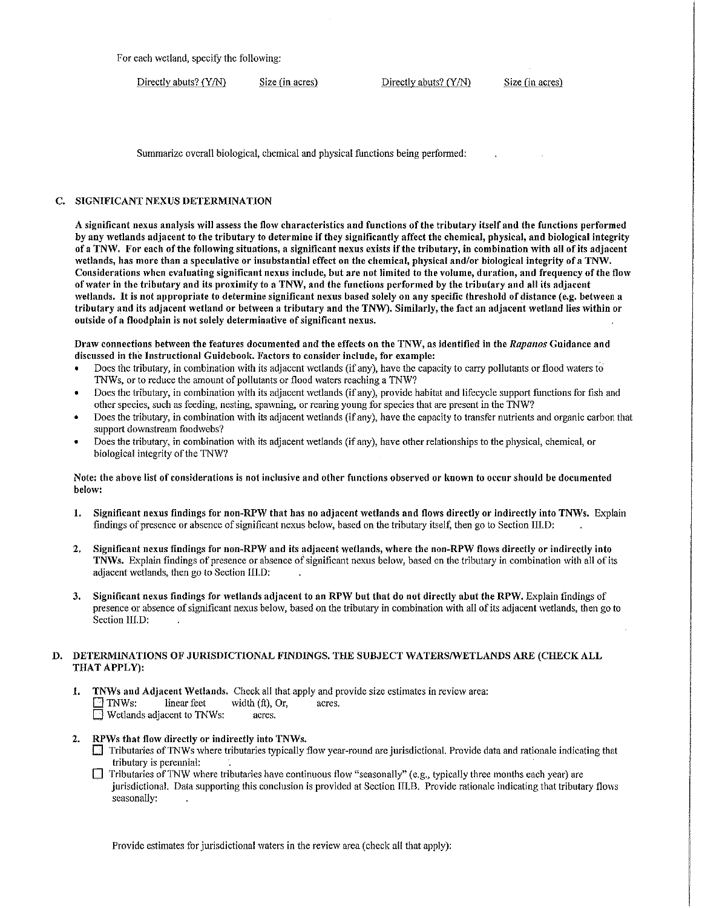For each wetland, specify the following:

Directly abuts? (Y/N) Size (in acres) Directly abuts? (Y/N) Size (in acres)

Summarize overall biological, chemical and physical functions being performed:

## C. SIGNIFICANT NEXUS DETERMINATION

A significant nexus analysis will assess the flow characteristics and functions of the tributary itself and the functions performed by any wetlands adjacent to the tributary to determine if they significantly affect the chemical, physical, and biological integrity of a TNW. For each of the following situations, a significant nexus exists if the tributary, in combination with all of its adjacent wetlands, has more than a speculative or insubstantial effect on the chemical, physical and/or biological integrity of a TNW. Considerations when evaluating significant nexus include, but are not limited to the volume, duration, and frequency of the flow of water in the tributary and its proximity to a TNW, and the functions performed by the tributary and all its adjacent wetlands. It is not appropriate to determine significant nexus based solely on any specific threshold of distance (e.g. between a tributary and its adjacent wetland or between a tributary and the TNW). Similarly, the fact an adjacent wetland lies within or outside of a floodplain is not solely determinative of significant nexus.

Draw connections between the features documented and the effects on the TNW, as identified in the *Rapanos* Guidance and discussed in the Instructional Guidebook. Factors to consider include, for example:

- Does the tributary, in combination with its adjacent wetlands (if any), have the capacity to carry pollutants or flood waters to TNWs, or to reduce the amount of pollutants or flood waters reaching a TNW?
- Does the tributary, in combination with its adjacent \Vetlands (if any), provide habitat and lifecycle support functions for fish and other species, such as feeding, nesting, spawning, or rearing young for species that are present in the TNW?
- Does the tributary, in combination with its adjacent wetlands (if any), have the capacity to transfer nutrients and organic carbon that support downstream foodwebs?
- Does the tributary, in combination with its adjacent \Vetlands (if any), have other relationships to the physical, chemical, or biological integrity of the TNW?

#### Note: the above list of considerations is not inclusive and other functions observed or known to occur should be documented belo,v:

- 1. Significant nexus findings for non-RPW that has no adjacent wetlands and flows directly or indirectly into TNWs. Explain findings of presence or absence of significant nexus below, based on the tributary itself, then go to Section III.D:
- 2. Significant nexus findings for non-RPW and its adjacent wetlands, where the non-RPW flows directly or indirectly into TNWs. Explain findings of presence or absence of significant nexus below, based on the tributary in combination with all of its adjacent wetlands, then go to Section 111.D:
- 3. Significant nexus findings for wetlands adjacent to an RPW but that do not directly abut the RPW. Explain findings of presence or absence of significant nexus below, based on the tributary in combination with all of its adjacent wetlands, then go to Section IIl.D:

## D. DETERMINATIONS OF JURISDICTIONAL FINDINGS. THE SUBJECT WATERS/WETLANDS ARE (CHECK ALL THAT APPLY):

- 1. TNWs and Adjacent Wetlands. Check all that apply and provide size estimates in review area:  $\Box$  TNWs: linear feet width (ft), Or, acres.  $\Box$  Wetlands adjacent to TNWs: acres.
- 2. RPWs that flow directly or indirectly into TNWs.
	- I Tributaries of TNWs where tributaries typically flow year-round are jurisdictional. Provide data and rationale indicating that tributary is perennial:
	- $\Box$  Tributaries of TNW where tributaries have continuous flow "seasonally" (e.g., typically three months each year) are jurisdictional. Data supporting this conclusion is provided at Section III.B. Provide rationale indicating that tributary flows seasonally:

Provide estimates for jurisdictional waters in the review area (check all that apply):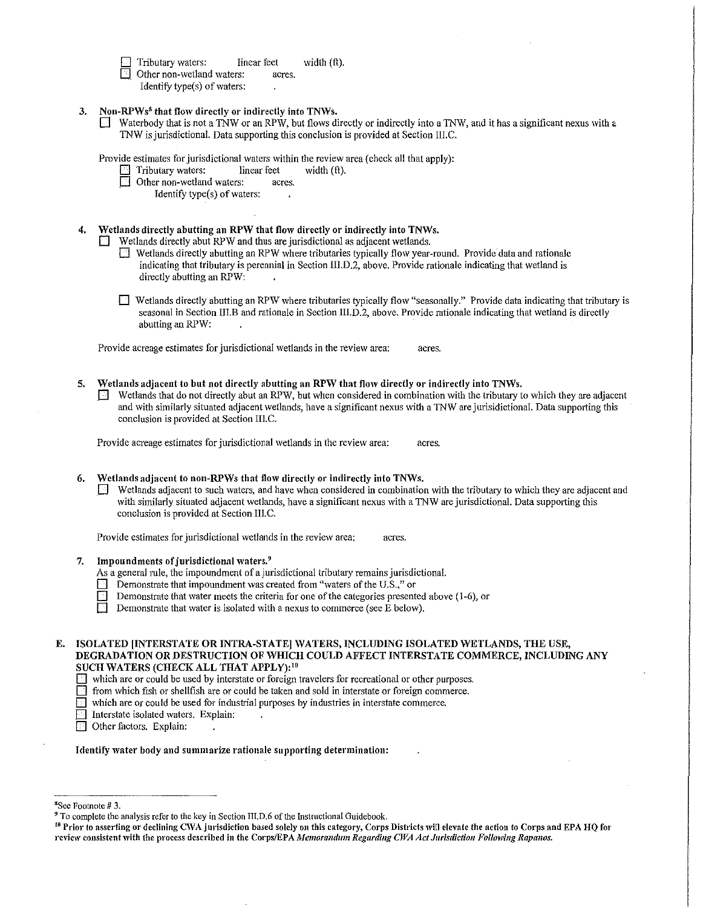Tributary waters: linear feet width (ft). Other non-wetland waters: acres.

Identify type(s) of waters:

3. Non-RPWs<sup>8</sup> that flow directly or indirectly into TNWs.

 $\Box$  Waterbody that is not a TNW or an RPW, but flows directly or indirectly into a TNW, and it has a significant nexus with a 1NW is jurisdictional. Data supporting this conclusion is provided at Section III.C.

Provide estimates for jurisdictional waters within the review area (check all that apply):

Tributary waters: linear feet width (ft).

 $\Box$  Other non-wetland waters: acres.

Identify type(s) of waters:

# 4. Wetlands directly abutting an RPW that flow directly or indirectly into TNWs.

 $\Box$  Wetlands directly abut RPW and thus are jurisdictional as adjacent wetlands.

- $\Box$  Wetlands directly abutting an RPW where tributaries typically flow year-round. Provide data and rationale indicating that tributary is perennial in Section III.D.2, above. Provide rationale indicating that wetland is directly abutting an RPW:
- $\Box$  Wetlands directly abutting an RPW where tributaries typically flow "seasonally." Provide data indicating that tributary is seasonal in Section III.B and rationale in Section III.D.2, above. Provide rationale indicating that wetland is directly abutting an RPW:

Provide acreage estimates for jurisdictional wetlands in the review area: acres.

Wetlands adjacent to but not directly abutting an RPW that flow directly or indirectly into TNWs.  $\Box$  Wetlands that do not directly abut an RPW, but when considered in combination with the tributary to which they are adjacent and with similarly situated adjacent wetlands, have a significant nexus with a TNW are jurisidictional. Data supporting this conclusion is provided at Section III.C.

Provide acreage estimates for jurisdictional wetlands in the review area: acres.

Wetlands adjacent to non-RPWs that flow directly or indirectly into TNWs.

 $\Box$  Wetlands adjacent to such waters, and have when considered in combination with the tributary to which they are adjacent and with similarly situated adjacent wetlands, have a significant nexus with a TNW are jurisdictional. Data supporting this conclusion is provided at Section III.C.

Provide estimates for jurisdictional wetlands in the review area: acres.

7. Impoundments of jurisdictional waters. $9$ 

As a general rule, the impoundment of a jurisdictional tributary remains jurisdictional.

- Demonstrate that impoundment was created from "waters of the U.S.," or
- Demonstrate that water meets the criteria for one of the categories presented above  $(1-6)$ , or

Demonstrate that water is isolated with a nexus to commerce (see E below).

## E. ISOLATED INTERSTATE OR INTRA-STATE] WATERS, INCLUDING ISOLATED WETLANDS, THE USE, DEGRADATION OR DESTRUCTION OF WHICH COULD AFFECT INTERSTATE COMMERCE, INCLUDING ANY SUCH WATERS (CHECK ALL THAT APPLY):<sup>10</sup>

 $\Box$  which are or could be used by interstate or foreign travelers for recreational or other purposes.

D from which fish or shellfish are or could be taken and sold in interstate or foreign commerce.

 $\Box$  which are or could be used for industrial purposes by industries in interstate commerce.

Interstate isolated waters. Explain:

Other factors. Explain:

Identify water body and summarize rationale supporting determination:

<sup>&</sup>lt;sup>8</sup>See Footnote #3.

 $9$  To complete the analysis refer to the key in Section III.D.6 of the Instructional Guidebook.

<sup>&</sup>lt;sup>16</sup> Prior to asserting or declining CWA jurisdiction based solely on this category, Corps Districts will elevate the action to Corps and EPA HQ for review consistent with the process described in the Corps/EPA *Memorandum Regarding CWA Act Jurisdiction Following Rapanos.*